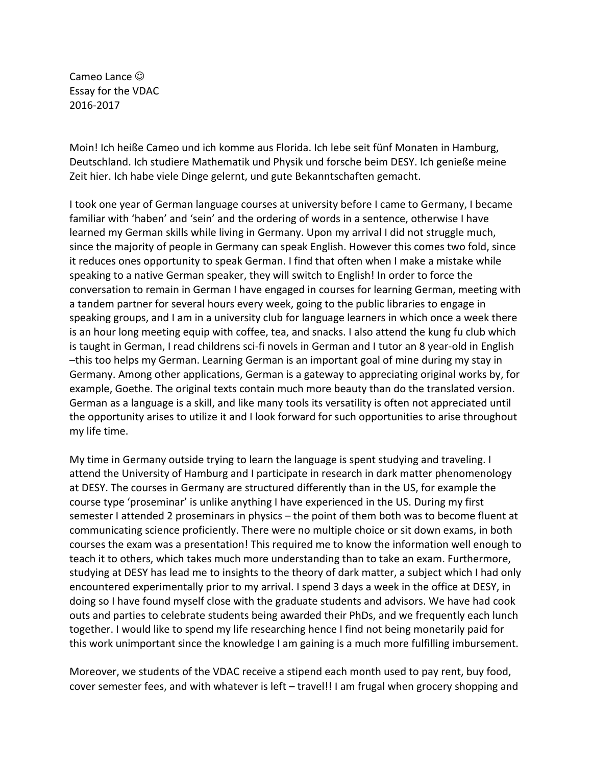Cameo Lance  $\odot$ Essay for the VDAC 2016-2017

Moin! Ich heiße Cameo und ich komme aus Florida. Ich lebe seit fünf Monaten in Hamburg, Deutschland. Ich studiere Mathematik und Physik und forsche beim DESY. Ich genieße meine Zeit hier. Ich habe viele Dinge gelernt, und gute Bekanntschaften gemacht.

I took one year of German language courses at university before I came to Germany, I became familiar with 'haben' and 'sein' and the ordering of words in a sentence, otherwise I have learned my German skills while living in Germany. Upon my arrival I did not struggle much, since the majority of people in Germany can speak English. However this comes two fold, since it reduces ones opportunity to speak German. I find that often when I make a mistake while speaking to a native German speaker, they will switch to English! In order to force the conversation to remain in German I have engaged in courses for learning German, meeting with a tandem partner for several hours every week, going to the public libraries to engage in speaking groups, and I am in a university club for language learners in which once a week there is an hour long meeting equip with coffee, tea, and snacks. I also attend the kung fu club which is taught in German, I read childrens sci-fi novels in German and I tutor an 8 year-old in English -this too helps my German. Learning German is an important goal of mine during my stay in Germany. Among other applications, German is a gateway to appreciating original works by, for example, Goethe. The original texts contain much more beauty than do the translated version. German as a language is a skill, and like many tools its versatility is often not appreciated until the opportunity arises to utilize it and I look forward for such opportunities to arise throughout my life time.

My time in Germany outside trying to learn the language is spent studying and traveling. I attend the University of Hamburg and I participate in research in dark matter phenomenology at DESY. The courses in Germany are structured differently than in the US, for example the course type 'proseminar' is unlike anything I have experienced in the US. During my first semester I attended 2 proseminars in physics – the point of them both was to become fluent at communicating science proficiently. There were no multiple choice or sit down exams, in both courses the exam was a presentation! This required me to know the information well enough to teach it to others, which takes much more understanding than to take an exam. Furthermore, studying at DESY has lead me to insights to the theory of dark matter, a subject which I had only encountered experimentally prior to my arrival. I spend 3 days a week in the office at DESY, in doing so I have found myself close with the graduate students and advisors. We have had cook outs and parties to celebrate students being awarded their PhDs, and we frequently each lunch together. I would like to spend my life researching hence I find not being monetarily paid for this work unimportant since the knowledge I am gaining is a much more fulfilling imbursement.

Moreover, we students of the VDAC receive a stipend each month used to pay rent, buy food, cover semester fees, and with whatever is left - travel!! I am frugal when grocery shopping and